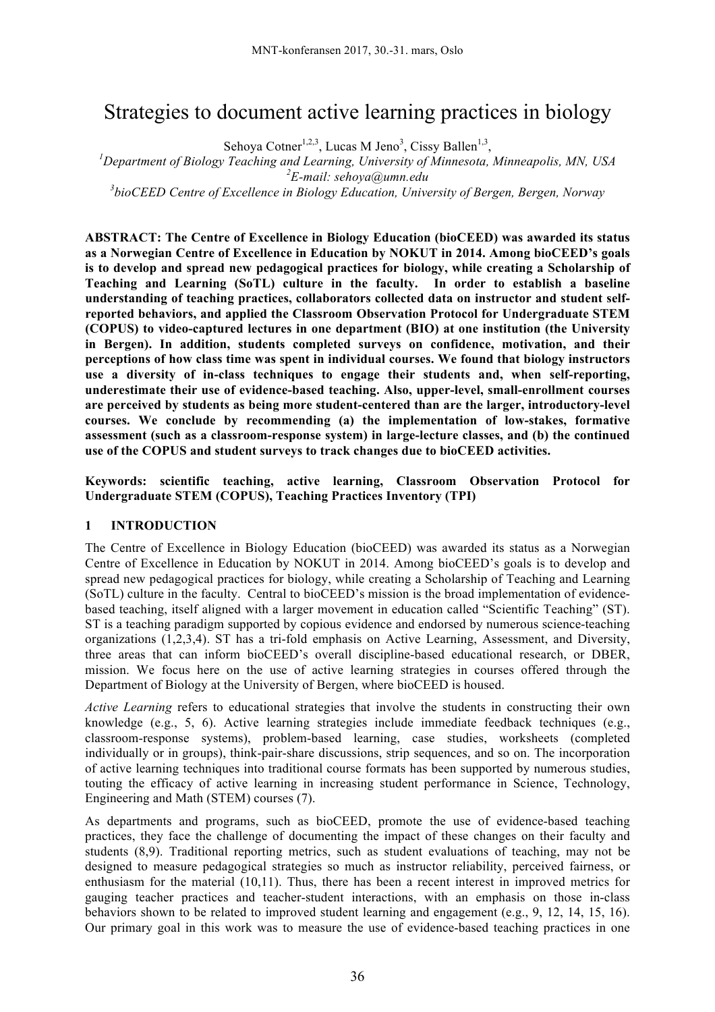# Strategies to document active learning practices in biology

Sehoya Cotner<sup>1,2,3</sup>, Lucas M Jeno<sup>3</sup>, Cissy Ballen<sup>1,3</sup>

Sehoya Cotner<sup>1,2,3</sup>, Lucas M Jeno<sup>3</sup>, Cissy Ballen<sup>1,3</sup>,<br><sup>*I*</sup> Department of Biology Teaching and Learning, University of Minnesota, Minneapolis, MN, USA

*2 E-mail: sehoya@umn.edu*

*3 bioCEED Centre of Excellence in Biology Education, University of Bergen, Bergen, Norway*

**ABSTRACT: The Centre of Excellence in Biology Education (bioCEED) was awarded its status as a Norwegian Centre of Excellence in Education by NOKUT in 2014. Among bioCEED's goals is to develop and spread new pedagogical practices for biology, while creating a Scholarship of Teaching and Learning (SoTL) culture in the faculty. In order to establish a baseline understanding of teaching practices, collaborators collected data on instructor and student selfreported behaviors, and applied the Classroom Observation Protocol for Undergraduate STEM (COPUS) to video-captured lectures in one department (BIO) at one institution (the University in Bergen). In addition, students completed surveys on confidence, motivation, and their perceptions of how class time was spent in individual courses. We found that biology instructors use a diversity of in-class techniques to engage their students and, when self-reporting, underestimate their use of evidence-based teaching. Also, upper-level, small-enrollment courses are perceived by students as being more student-centered than are the larger, introductory-level courses. We conclude by recommending (a) the implementation of low-stakes, formative assessment (such as a classroom-response system) in large-lecture classes, and (b) the continued use of the COPUS and student surveys to track changes due to bioCEED activities.**

**Keywords: scientific teaching, active learning, Classroom Observation Protocol for Undergraduate STEM (COPUS), Teaching Practices Inventory (TPI)**

## **1 INTRODUCTION**

The Centre of Excellence in Biology Education (bioCEED) was awarded its status as a Norwegian Centre of Excellence in Education by NOKUT in 2014. Among bioCEED's goals is to develop and spread new pedagogical practices for biology, while creating a Scholarship of Teaching and Learning (SoTL) culture in the faculty. Central to bioCEED's mission is the broad implementation of evidencebased teaching, itself aligned with a larger movement in education called "Scientific Teaching" (ST). ST is a teaching paradigm supported by copious evidence and endorsed by numerous science-teaching organizations (1,2,3,4). ST has a tri-fold emphasis on Active Learning, Assessment, and Diversity, three areas that can inform bioCEED's overall discipline-based educational research, or DBER, mission. We focus here on the use of active learning strategies in courses offered through the Department of Biology at the University of Bergen, where bioCEED is housed.

*Active Learning* refers to educational strategies that involve the students in constructing their own knowledge (e.g., 5, 6). Active learning strategies include immediate feedback techniques (e.g., classroom-response systems), problem-based learning, case studies, worksheets (completed individually or in groups), think-pair-share discussions, strip sequences, and so on. The incorporation of active learning techniques into traditional course formats has been supported by numerous studies, touting the efficacy of active learning in increasing student performance in Science, Technology, Engineering and Math (STEM) courses (7).

As departments and programs, such as bioCEED, promote the use of evidence-based teaching practices, they face the challenge of documenting the impact of these changes on their faculty and students (8,9). Traditional reporting metrics, such as student evaluations of teaching, may not be designed to measure pedagogical strategies so much as instructor reliability, perceived fairness, or enthusiasm for the material (10,11). Thus, there has been a recent interest in improved metrics for gauging teacher practices and teacher-student interactions, with an emphasis on those in-class behaviors shown to be related to improved student learning and engagement (e.g., 9, 12, 14, 15, 16). Our primary goal in this work was to measure the use of evidence-based teaching practices in one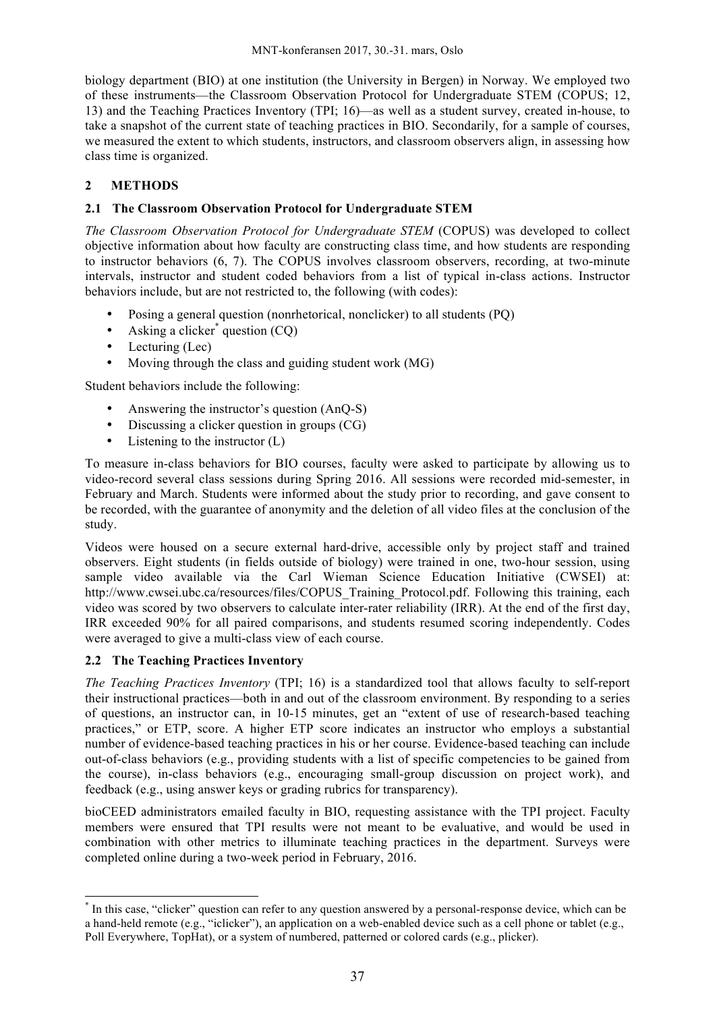biology department (BIO) at one institution (the University in Bergen) in Norway. We employed two of these instruments—the Classroom Observation Protocol for Undergraduate STEM (COPUS; 12, 13) and the Teaching Practices Inventory (TPI; 16)—as well as a student survey, created in-house, to take a snapshot of the current state of teaching practices in BIO. Secondarily, for a sample of courses, we measured the extent to which students, instructors, and classroom observers align, in assessing how class time is organized.

## **2 METHODS**

## **2.1 The Classroom Observation Protocol for Undergraduate STEM**

*The Classroom Observation Protocol for Undergraduate STEM* (COPUS) was developed to collect objective information about how faculty are constructing class time, and how students are responding to instructor behaviors (6, 7). The COPUS involves classroom observers, recording, at two-minute intervals, instructor and student coded behaviors from a list of typical in-class actions. Instructor behaviors include, but are not restricted to, the following (with codes):

- Posing a general question (nonrhetorical, nonclicker) to all students (PQ)
- Asking a clicker<sup>\*</sup> question  $(CQ)$
- Lecturing (Lec)
- Moving through the class and guiding student work (MG)

Student behaviors include the following:

- Answering the instructor's question (AnO-S)
- Discussing a clicker question in groups (CG)
- Listening to the instructor (L)

To measure in-class behaviors for BIO courses, faculty were asked to participate by allowing us to video-record several class sessions during Spring 2016. All sessions were recorded mid-semester, in February and March. Students were informed about the study prior to recording, and gave consent to be recorded, with the guarantee of anonymity and the deletion of all video files at the conclusion of the study.

Videos were housed on a secure external hard-drive, accessible only by project staff and trained observers. Eight students (in fields outside of biology) were trained in one, two-hour session, using sample video available via the Carl Wieman Science Education Initiative (CWSEI) at: http://www.cwsei.ubc.ca/resources/files/COPUS Training Protocol.pdf. Following this training, each video was scored by two observers to calculate inter-rater reliability (IRR). At the end of the first day, IRR exceeded 90% for all paired comparisons, and students resumed scoring independently. Codes were averaged to give a multi-class view of each course.

## **2.2 The Teaching Practices Inventory**

1

*The Teaching Practices Inventory* (TPI; 16) is a standardized tool that allows faculty to self-report their instructional practices—both in and out of the classroom environment. By responding to a series of questions, an instructor can, in 10-15 minutes, get an "extent of use of research-based teaching practices," or ETP, score. A higher ETP score indicates an instructor who employs a substantial number of evidence-based teaching practices in his or her course. Evidence-based teaching can include out-of-class behaviors (e.g., providing students with a list of specific competencies to be gained from the course), in-class behaviors (e.g., encouraging small-group discussion on project work), and feedback (e.g., using answer keys or grading rubrics for transparency).

bioCEED administrators emailed faculty in BIO, requesting assistance with the TPI project. Faculty members were ensured that TPI results were not meant to be evaluative, and would be used in combination with other metrics to illuminate teaching practices in the department. Surveys were completed online during a two-week period in February, 2016.

<sup>\*</sup> In this case, "clicker" question can refer to any question answered by a personal-response device, which can be a hand-held remote (e.g., "iclicker"), an application on a web-enabled device such as a cell phone or tablet (e.g., Poll Everywhere, TopHat), or a system of numbered, patterned or colored cards (e.g., plicker).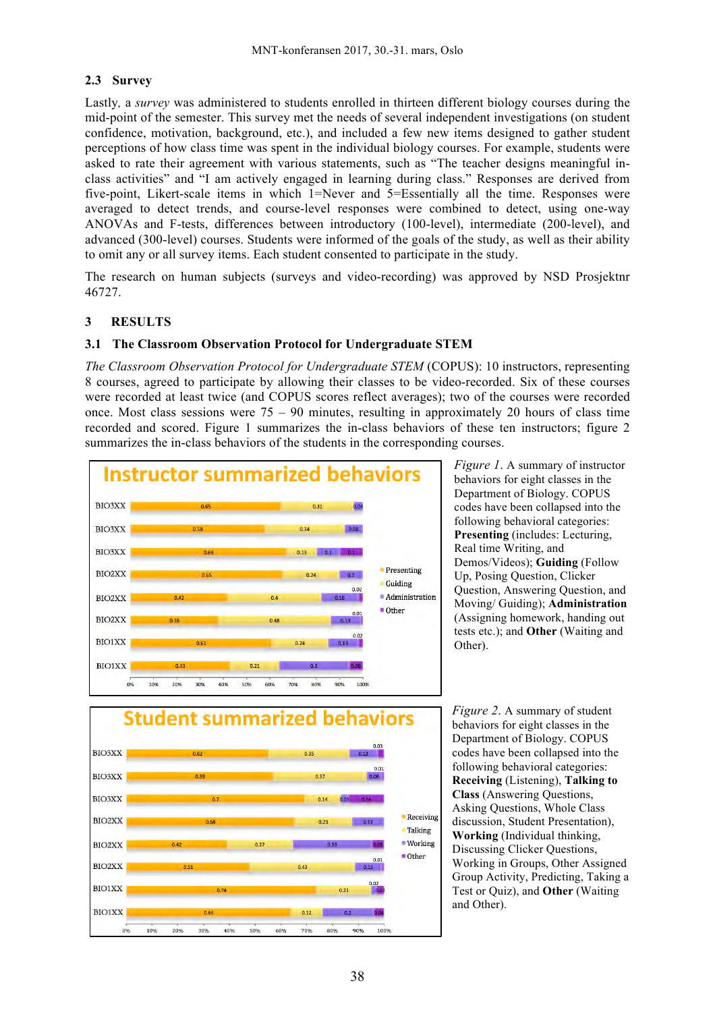## **2.3 Survey**

Lastly*,* a *survey* was administered to students enrolled in thirteen different biology courses during the mid-point of the semester. This survey met the needs of several independent investigations (on student confidence, motivation, background, etc.), and included a few new items designed to gather student perceptions of how class time was spent in the individual biology courses. For example, students were asked to rate their agreement with various statements, such as "The teacher designs meaningful inclass activities" and "I am actively engaged in learning during class." Responses are derived from five-point, Likert-scale items in which 1=Never and 5=Essentially all the time. Responses were averaged to detect trends, and course-level responses were combined to detect, using one-way ANOVAs and F-tests, differences between introductory (100-level), intermediate (200-level), and advanced (300-level) courses. Students were informed of the goals of the study, as well as their ability to omit any or all survey items. Each student consented to participate in the study.

The research on human subjects (surveys and video-recording) was approved by NSD Prosjektnr 46727.

#### **3 RESULTS**

#### **3.1 The Classroom Observation Protocol for Undergraduate STEM**

*The Classroom Observation Protocol for Undergraduate STEM* (COPUS): 10 instructors, representing 8 courses, agreed to participate by allowing their classes to be video-recorded. Six of these courses were recorded at least twice (and COPUS scores reflect averages); two of the courses were recorded once. Most class sessions were  $75 - 90$  minutes, resulting in approximately 20 hours of class time recorded and scored. Figure 1 summarizes the in-class behaviors of these ten instructors; figure 2 summarizes the in-class behaviors of the students in the corresponding courses.



*Figure 1*. A summary of instructor behaviors for eight classes in the Department of Biology. COPUS codes have been collapsed into the following behavioral categories: **Presenting** (includes: Lecturing, Real time Writing, and Demos/Videos); **Guiding** (Follow Up, Posing Question, Clicker Question, Answering Question, and Moving/ Guiding); **Administration**  (Assigning homework, handing out tests etc.); and **Other** (Waiting and Other).



*Figure 2*. A summary of student behaviors for eight classes in the Department of Biology. COPUS codes have been collapsed into the following behavioral categories: **Receiving** (Listening), **Talking to Class** (Answering Questions, Asking Questions, Whole Class discussion, Student Presentation), **Working** (Individual thinking, Discussing Clicker Questions, Working in Groups, Other Assigned Group Activity, Predicting, Taking a Test or Quiz), and **Other** (Waiting and Other).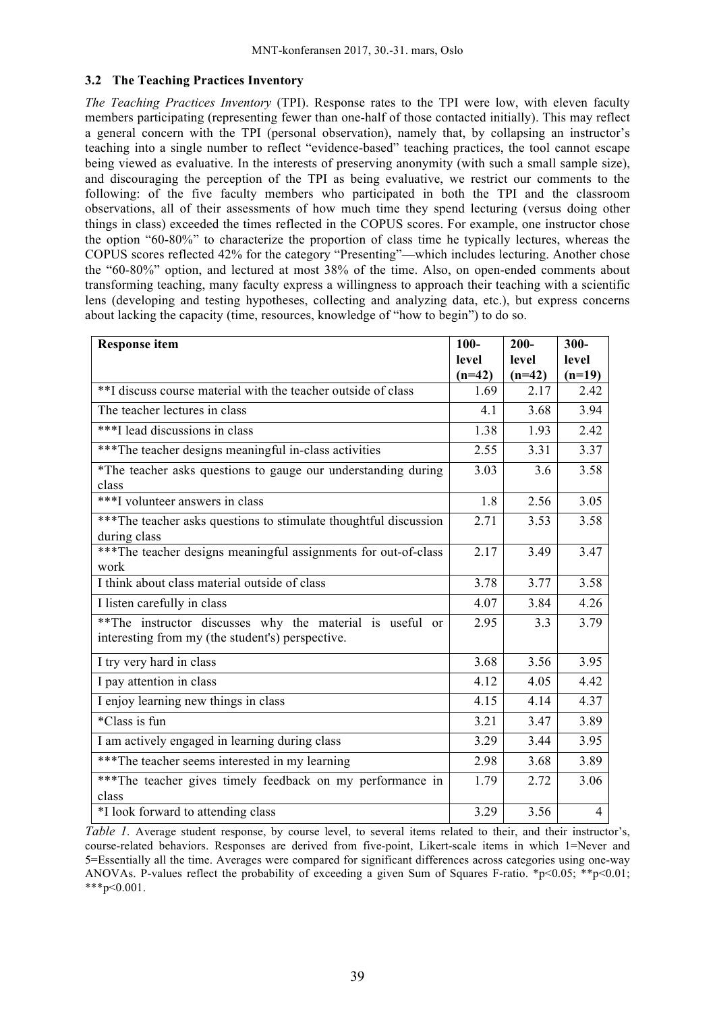#### **3.2 The Teaching Practices Inventory**

*The Teaching Practices Inventory* (TPI). Response rates to the TPI were low, with eleven faculty members participating (representing fewer than one-half of those contacted initially). This may reflect a general concern with the TPI (personal observation), namely that, by collapsing an instructor's teaching into a single number to reflect "evidence-based" teaching practices, the tool cannot escape being viewed as evaluative. In the interests of preserving anonymity (with such a small sample size), and discouraging the perception of the TPI as being evaluative, we restrict our comments to the following: of the five faculty members who participated in both the TPI and the classroom observations, all of their assessments of how much time they spend lecturing (versus doing other things in class) exceeded the times reflected in the COPUS scores. For example, one instructor chose the option "60-80%" to characterize the proportion of class time he typically lectures, whereas the COPUS scores reflected 42% for the category "Presenting"—which includes lecturing. Another chose the "60-80%" option, and lectured at most 38% of the time. Also, on open-ended comments about transforming teaching, many faculty express a willingness to approach their teaching with a scientific lens (developing and testing hypotheses, collecting and analyzing data, etc.), but express concerns about lacking the capacity (time, resources, knowledge of "how to begin") to do so.

| <b>Response item</b>                                             | $100 -$  | $200 -$  | $300 -$  |
|------------------------------------------------------------------|----------|----------|----------|
|                                                                  | level    | level    | level    |
|                                                                  | $(n=42)$ | $(n=42)$ | $(n=19)$ |
| **I discuss course material with the teacher outside of class    | 1.69     | 2.17     | 2.42     |
| The teacher lectures in class                                    | 4.1      | 3.68     | 3.94     |
| ***I lead discussions in class                                   | 1.38     | 1.93     | 2.42     |
| *** The teacher designs meaningful in-class activities           | 2.55     | 3.31     | 3.37     |
| *The teacher asks questions to gauge our understanding during    | 3.03     | 3.6      | 3.58     |
| class                                                            |          |          |          |
| ***I volunteer answers in class                                  | 1.8      | 2.56     | 3.05     |
| ***The teacher asks questions to stimulate thoughtful discussion | 2.71     | 3.53     | 3.58     |
| during class                                                     |          |          |          |
| ***The teacher designs meaningful assignments for out-of-class   | 2.17     | 3.49     | 3.47     |
| work                                                             |          |          |          |
| I think about class material outside of class                    | 3.78     | 3.77     | 3.58     |
| I listen carefully in class                                      | 4.07     | 3.84     | 4.26     |
| **The instructor discusses why the material is useful or         | 2.95     | 3.3      | 3.79     |
| interesting from my (the student's) perspective.                 |          |          |          |
| I try very hard in class                                         | 3.68     | 3.56     | 3.95     |
| I pay attention in class                                         | 4.12     | 4.05     | 4.42     |
| I enjoy learning new things in class                             | 4.15     | 4.14     | 4.37     |
| *Class is fun                                                    | 3.21     | 3.47     | 3.89     |
| I am actively engaged in learning during class                   | 3.29     | 3.44     | 3.95     |
| ***The teacher seems interested in my learning                   | 2.98     | 3.68     | 3.89     |
| ***The teacher gives timely feedback on my performance in        | 1.79     | 2.72     | 3.06     |
| class                                                            |          |          |          |
| *I look forward to attending class                               | 3.29     | 3.56     | 4        |

*Table 1.* Average student response, by course level, to several items related to their, and their instructor's, course-related behaviors. Responses are derived from five-point, Likert-scale items in which 1=Never and 5=Essentially all the time. Averages were compared for significant differences across categories using one-way ANOVAs. P-values reflect the probability of exceeding a given Sum of Squares F-ratio. \*p<0.05; \*\*p<0.01; \*\*\*p<0.001.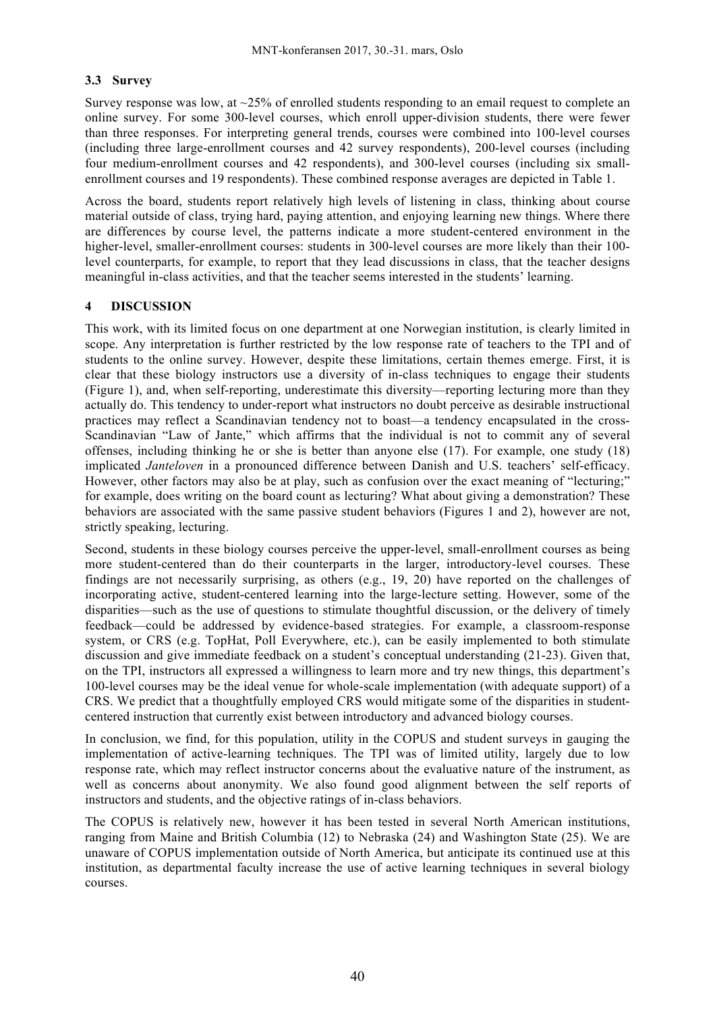## **3.3 Survey**

Survey response was low, at  $\sim$ 25% of enrolled students responding to an email request to complete an online survey. For some 300-level courses, which enroll upper-division students, there were fewer than three responses. For interpreting general trends, courses were combined into 100-level courses (including three large-enrollment courses and 42 survey respondents), 200-level courses (including four medium-enrollment courses and 42 respondents), and 300-level courses (including six smallenrollment courses and 19 respondents). These combined response averages are depicted in Table 1.

Across the board, students report relatively high levels of listening in class, thinking about course material outside of class, trying hard, paying attention, and enjoying learning new things. Where there are differences by course level, the patterns indicate a more student-centered environment in the higher-level, smaller-enrollment courses: students in 300-level courses are more likely than their 100 level counterparts, for example, to report that they lead discussions in class, that the teacher designs meaningful in-class activities, and that the teacher seems interested in the students' learning.

#### **4 DISCUSSION**

This work, with its limited focus on one department at one Norwegian institution, is clearly limited in scope. Any interpretation is further restricted by the low response rate of teachers to the TPI and of students to the online survey. However, despite these limitations, certain themes emerge. First, it is clear that these biology instructors use a diversity of in-class techniques to engage their students (Figure 1), and, when self-reporting, underestimate this diversity—reporting lecturing more than they actually do. This tendency to under-report what instructors no doubt perceive as desirable instructional practices may reflect a Scandinavian tendency not to boast—a tendency encapsulated in the cross-Scandinavian "Law of Jante," which affirms that the individual is not to commit any of several offenses, including thinking he or she is better than anyone else (17). For example, one study (18) implicated *Janteloven* in a pronounced difference between Danish and U.S. teachers' self-efficacy. However, other factors may also be at play, such as confusion over the exact meaning of "lecturing;" for example, does writing on the board count as lecturing? What about giving a demonstration? These behaviors are associated with the same passive student behaviors (Figures 1 and 2), however are not, strictly speaking, lecturing.

Second, students in these biology courses perceive the upper-level, small-enrollment courses as being more student-centered than do their counterparts in the larger, introductory-level courses. These findings are not necessarily surprising, as others (e.g., 19, 20) have reported on the challenges of incorporating active, student-centered learning into the large-lecture setting. However, some of the disparities—such as the use of questions to stimulate thoughtful discussion, or the delivery of timely feedback—could be addressed by evidence-based strategies. For example, a classroom-response system, or CRS (e.g. TopHat, Poll Everywhere, etc.), can be easily implemented to both stimulate discussion and give immediate feedback on a student's conceptual understanding (21-23). Given that, on the TPI, instructors all expressed a willingness to learn more and try new things, this department's 100-level courses may be the ideal venue for whole-scale implementation (with adequate support) of a CRS. We predict that a thoughtfully employed CRS would mitigate some of the disparities in studentcentered instruction that currently exist between introductory and advanced biology courses.

In conclusion, we find, for this population, utility in the COPUS and student surveys in gauging the implementation of active-learning techniques. The TPI was of limited utility, largely due to low response rate, which may reflect instructor concerns about the evaluative nature of the instrument, as well as concerns about anonymity. We also found good alignment between the self reports of instructors and students, and the objective ratings of in-class behaviors.

The COPUS is relatively new, however it has been tested in several North American institutions, ranging from Maine and British Columbia (12) to Nebraska (24) and Washington State (25). We are unaware of COPUS implementation outside of North America, but anticipate its continued use at this institution, as departmental faculty increase the use of active learning techniques in several biology courses.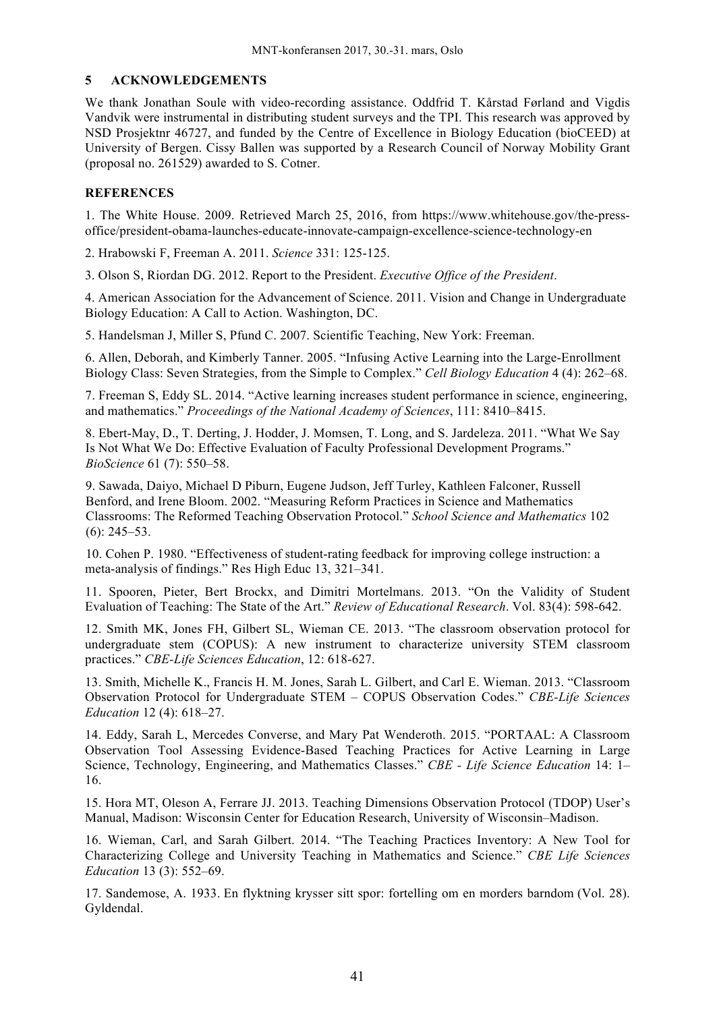## **5 ACKNOWLEDGEMENTS**

We thank Jonathan Soule with video-recording assistance. Oddfrid T. Kårstad Førland and Vigdis Vandvik were instrumental in distributing student surveys and the TPI. This research was approved by NSD Prosjektnr 46727, and funded by the Centre of Excellence in Biology Education (bioCEED) at University of Bergen. Cissy Ballen was supported by a Research Council of Norway Mobility Grant (proposal no. 261529) awarded to S. Cotner.

#### **REFERENCES**

1. The White House. 2009. Retrieved March 25, 2016, from https://www.whitehouse.gov/the-pressoffice/president-obama-launches-educate-innovate-campaign-excellence-science-technology-en

2. Hrabowski F, Freeman A. 2011. *Science* 331: 125-125.

3. Olson S, Riordan DG. 2012. Report to the President. *Executive Office of the President*.

4. American Association for the Advancement of Science. 2011. Vision and Change in Undergraduate Biology Education: A Call to Action. Washington, DC.

5. Handelsman J, Miller S, Pfund C. 2007. Scientific Teaching, New York: Freeman.

6. Allen, Deborah, and Kimberly Tanner. 2005. "Infusing Active Learning into the Large-Enrollment Biology Class: Seven Strategies, from the Simple to Complex." *Cell Biology Education* 4 (4): 262–68.

7. Freeman S, Eddy SL. 2014. "Active learning increases student performance in science, engineering, and mathematics." *Proceedings of the National Academy of Sciences*, 111: 8410–8415.

8. Ebert-May, D., T. Derting, J. Hodder, J. Momsen, T. Long, and S. Jardeleza. 2011. "What We Say Is Not What We Do: Effective Evaluation of Faculty Professional Development Programs." *BioScience* 61 (7): 550–58.

9. Sawada, Daiyo, Michael D Piburn, Eugene Judson, Jeff Turley, Kathleen Falconer, Russell Benford, and Irene Bloom. 2002. "Measuring Reform Practices in Science and Mathematics Classrooms: The Reformed Teaching Observation Protocol." *School Science and Mathematics* 102 (6): 245–53.

10. Cohen P. 1980. "Effectiveness of student-rating feedback for improving college instruction: a meta-analysis of findings." Res High Educ 13, 321–341.

11. Spooren, Pieter, Bert Brockx, and Dimitri Mortelmans. 2013. "On the Validity of Student Evaluation of Teaching: The State of the Art." *Review of Educational Research*. Vol. 83(4): 598-642.

12. Smith MK, Jones FH, Gilbert SL, Wieman CE. 2013. "The classroom observation protocol for undergraduate stem (COPUS): A new instrument to characterize university STEM classroom practices." *CBE-Life Sciences Education*, 12: 618-627.

13. Smith, Michelle K., Francis H. M. Jones, Sarah L. Gilbert, and Carl E. Wieman. 2013. "Classroom Observation Protocol for Undergraduate STEM – COPUS Observation Codes." *CBE-Life Sciences Education* 12 (4): 618–27.

14. Eddy, Sarah L, Mercedes Converse, and Mary Pat Wenderoth. 2015. "PORTAAL: A Classroom Observation Tool Assessing Evidence-Based Teaching Practices for Active Learning in Large Science, Technology, Engineering, and Mathematics Classes." *CBE - Life Science Education* 14: 1– 16.

15. Hora MT, Oleson A, Ferrare JJ. 2013. Teaching Dimensions Observation Protocol (TDOP) User's Manual, Madison: Wisconsin Center for Education Research, University of Wisconsin–Madison.

16. Wieman, Carl, and Sarah Gilbert. 2014. "The Teaching Practices Inventory: A New Tool for Characterizing College and University Teaching in Mathematics and Science." *CBE Life Sciences Education* 13 (3): 552–69.

17. Sandemose, A. 1933. En flyktning krysser sitt spor: fortelling om en morders barndom (Vol. 28). Gyldendal.